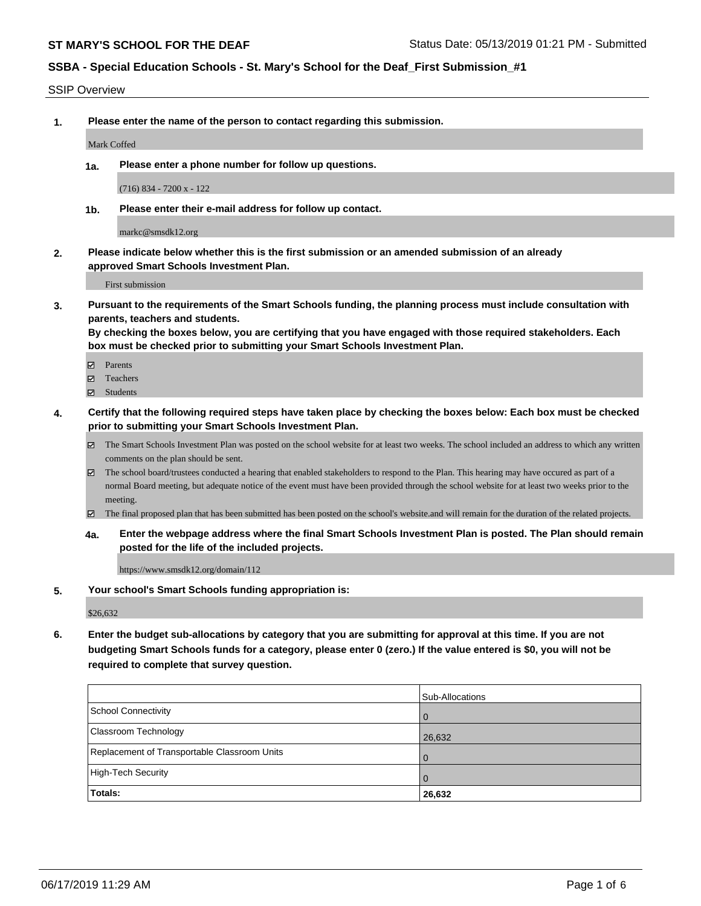SSIP Overview

**1. Please enter the name of the person to contact regarding this submission.**

Mark Coffed

**1a. Please enter a phone number for follow up questions.**

(716) 834 - 7200 x - 122

**1b. Please enter their e-mail address for follow up contact.**

markc@smsdk12.org

**2. Please indicate below whether this is the first submission or an amended submission of an already approved Smart Schools Investment Plan.**

First submission

**3. Pursuant to the requirements of the Smart Schools funding, the planning process must include consultation with parents, teachers and students.**

**By checking the boxes below, you are certifying that you have engaged with those required stakeholders. Each box must be checked prior to submitting your Smart Schools Investment Plan.**

- Parents
- Teachers
- Students
- **4. Certify that the following required steps have taken place by checking the boxes below: Each box must be checked prior to submitting your Smart Schools Investment Plan.**
	- The Smart Schools Investment Plan was posted on the school website for at least two weeks. The school included an address to which any written comments on the plan should be sent.
	- The school board/trustees conducted a hearing that enabled stakeholders to respond to the Plan. This hearing may have occured as part of a normal Board meeting, but adequate notice of the event must have been provided through the school website for at least two weeks prior to the meeting.
	- The final proposed plan that has been submitted has been posted on the school's website.and will remain for the duration of the related projects.
	- **4a. Enter the webpage address where the final Smart Schools Investment Plan is posted. The Plan should remain posted for the life of the included projects.**

https://www.smsdk12.org/domain/112

**5. Your school's Smart Schools funding appropriation is:**

\$26,632

**6. Enter the budget sub-allocations by category that you are submitting for approval at this time. If you are not budgeting Smart Schools funds for a category, please enter 0 (zero.) If the value entered is \$0, you will not be required to complete that survey question.**

|                                              | Sub-Allocations |
|----------------------------------------------|-----------------|
| School Connectivity                          | . O             |
| <b>Classroom Technology</b>                  | 26,632          |
| Replacement of Transportable Classroom Units | $\overline{0}$  |
| High-Tech Security                           | . O             |
| Totals:                                      | 26,632          |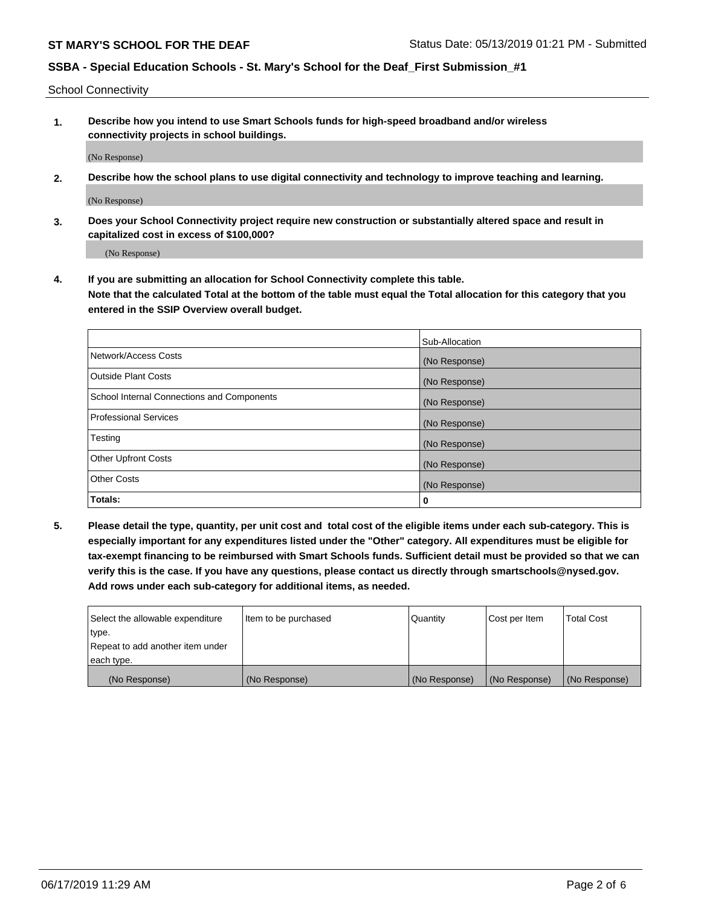School Connectivity

**1. Describe how you intend to use Smart Schools funds for high-speed broadband and/or wireless connectivity projects in school buildings.**

(No Response)

**2. Describe how the school plans to use digital connectivity and technology to improve teaching and learning.**

(No Response)

**3. Does your School Connectivity project require new construction or substantially altered space and result in capitalized cost in excess of \$100,000?**

(No Response)

**4. If you are submitting an allocation for School Connectivity complete this table. Note that the calculated Total at the bottom of the table must equal the Total allocation for this category that you entered in the SSIP Overview overall budget.** 

|                                            | Sub-Allocation |
|--------------------------------------------|----------------|
| Network/Access Costs                       | (No Response)  |
| Outside Plant Costs                        | (No Response)  |
| School Internal Connections and Components | (No Response)  |
| <b>Professional Services</b>               | (No Response)  |
| Testing                                    | (No Response)  |
| Other Upfront Costs                        | (No Response)  |
| <b>Other Costs</b>                         | (No Response)  |
| Totals:                                    | 0              |

**5. Please detail the type, quantity, per unit cost and total cost of the eligible items under each sub-category. This is especially important for any expenditures listed under the "Other" category. All expenditures must be eligible for tax-exempt financing to be reimbursed with Smart Schools funds. Sufficient detail must be provided so that we can verify this is the case. If you have any questions, please contact us directly through smartschools@nysed.gov. Add rows under each sub-category for additional items, as needed.**

| each type.<br>(No Response)      | (No Response)          | (No Response) | (No Response) | (No Response)     |
|----------------------------------|------------------------|---------------|---------------|-------------------|
|                                  |                        |               |               |                   |
| Repeat to add another item under |                        |               |               |                   |
| ∣type.                           |                        |               |               |                   |
| Select the allowable expenditure | I Item to be purchased | Quantity      | Cost per Item | <b>Total Cost</b> |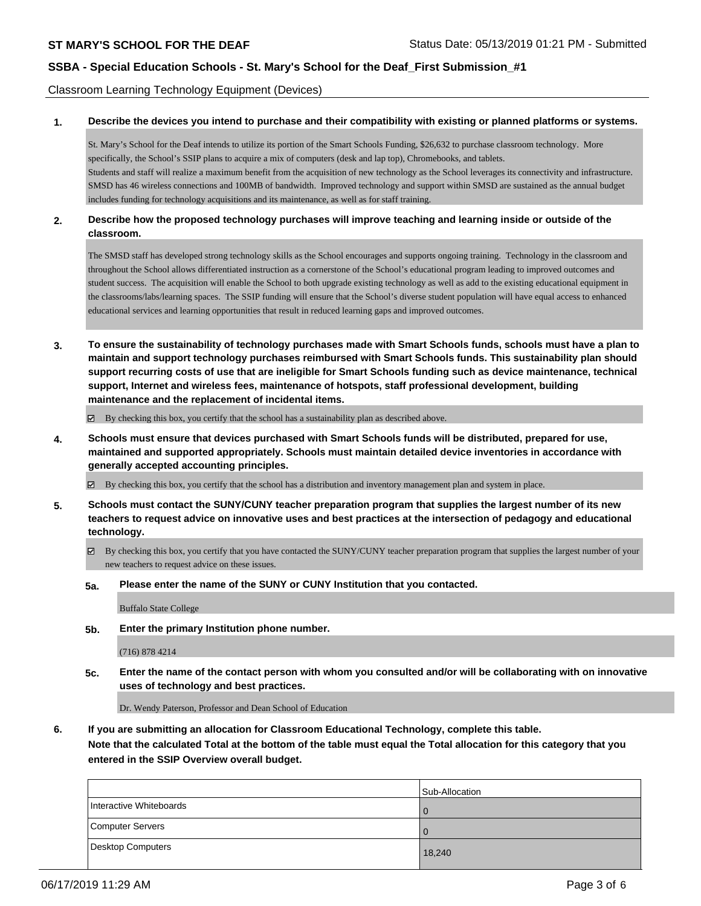Classroom Learning Technology Equipment (Devices)

**1. Describe the devices you intend to purchase and their compatibility with existing or planned platforms or systems.**

St. Mary's School for the Deaf intends to utilize its portion of the Smart Schools Funding, \$26,632 to purchase classroom technology. More specifically, the School's SSIP plans to acquire a mix of computers (desk and lap top), Chromebooks, and tablets. Students and staff will realize a maximum benefit from the acquisition of new technology as the School leverages its connectivity and infrastructure. SMSD has 46 wireless connections and 100MB of bandwidth. Improved technology and support within SMSD are sustained as the annual budget includes funding for technology acquisitions and its maintenance, as well as for staff training.

#### **2. Describe how the proposed technology purchases will improve teaching and learning inside or outside of the classroom.**

The SMSD staff has developed strong technology skills as the School encourages and supports ongoing training. Technology in the classroom and throughout the School allows differentiated instruction as a cornerstone of the School's educational program leading to improved outcomes and student success. The acquisition will enable the School to both upgrade existing technology as well as add to the existing educational equipment in the classrooms/labs/learning spaces. The SSIP funding will ensure that the School's diverse student population will have equal access to enhanced educational services and learning opportunities that result in reduced learning gaps and improved outcomes.

**3. To ensure the sustainability of technology purchases made with Smart Schools funds, schools must have a plan to maintain and support technology purchases reimbursed with Smart Schools funds. This sustainability plan should support recurring costs of use that are ineligible for Smart Schools funding such as device maintenance, technical support, Internet and wireless fees, maintenance of hotspots, staff professional development, building maintenance and the replacement of incidental items.**

By checking this box, you certify that the school has a sustainability plan as described above.

**4. Schools must ensure that devices purchased with Smart Schools funds will be distributed, prepared for use, maintained and supported appropriately. Schools must maintain detailed device inventories in accordance with generally accepted accounting principles.**

By checking this box, you certify that the school has a distribution and inventory management plan and system in place.

- **5. Schools must contact the SUNY/CUNY teacher preparation program that supplies the largest number of its new teachers to request advice on innovative uses and best practices at the intersection of pedagogy and educational technology.**
	- By checking this box, you certify that you have contacted the SUNY/CUNY teacher preparation program that supplies the largest number of your new teachers to request advice on these issues.
	- **5a. Please enter the name of the SUNY or CUNY Institution that you contacted.**

Buffalo State College

**5b. Enter the primary Institution phone number.**

(716) 878 4214

**5c. Enter the name of the contact person with whom you consulted and/or will be collaborating with on innovative uses of technology and best practices.**

Dr. Wendy Paterson, Professor and Dean School of Education

**6. If you are submitting an allocation for Classroom Educational Technology, complete this table.**

**Note that the calculated Total at the bottom of the table must equal the Total allocation for this category that you entered in the SSIP Overview overall budget.**

|                         | Sub-Allocation |
|-------------------------|----------------|
| Interactive Whiteboards | $\Omega$       |
| Computer Servers        | $\Omega$       |
| Desktop Computers       | 18,240         |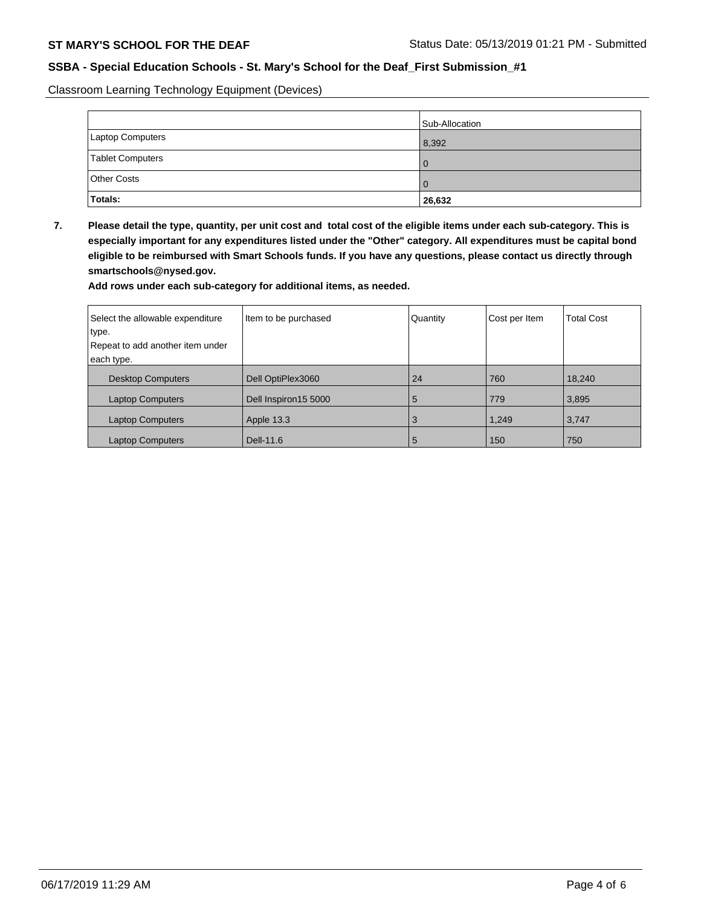Classroom Learning Technology Equipment (Devices)

|                    | Sub-Allocation |
|--------------------|----------------|
| Laptop Computers   | 8,392          |
| Tablet Computers   | $\Omega$       |
| <b>Other Costs</b> | $\Omega$       |
| Totals:            | 26,632         |

**7. Please detail the type, quantity, per unit cost and total cost of the eligible items under each sub-category. This is especially important for any expenditures listed under the "Other" category. All expenditures must be capital bond eligible to be reimbursed with Smart Schools funds. If you have any questions, please contact us directly through smartschools@nysed.gov.**

**Add rows under each sub-category for additional items, as needed.**

| Select the allowable expenditure | Item to be purchased | Quantity | Cost per Item | <b>Total Cost</b> |
|----------------------------------|----------------------|----------|---------------|-------------------|
| type.                            |                      |          |               |                   |
| Repeat to add another item under |                      |          |               |                   |
| each type.                       |                      |          |               |                   |
| <b>Desktop Computers</b>         | Dell OptiPlex3060    | 24       | 760           | 18,240            |
| <b>Laptop Computers</b>          | Dell Inspiron15 5000 | 5        | 779           | 3,895             |
| <b>Laptop Computers</b>          | Apple 13.3           | 3        | 1,249         | 3,747             |
| <b>Laptop Computers</b>          | Dell-11.6            | 5        | 150           | 750               |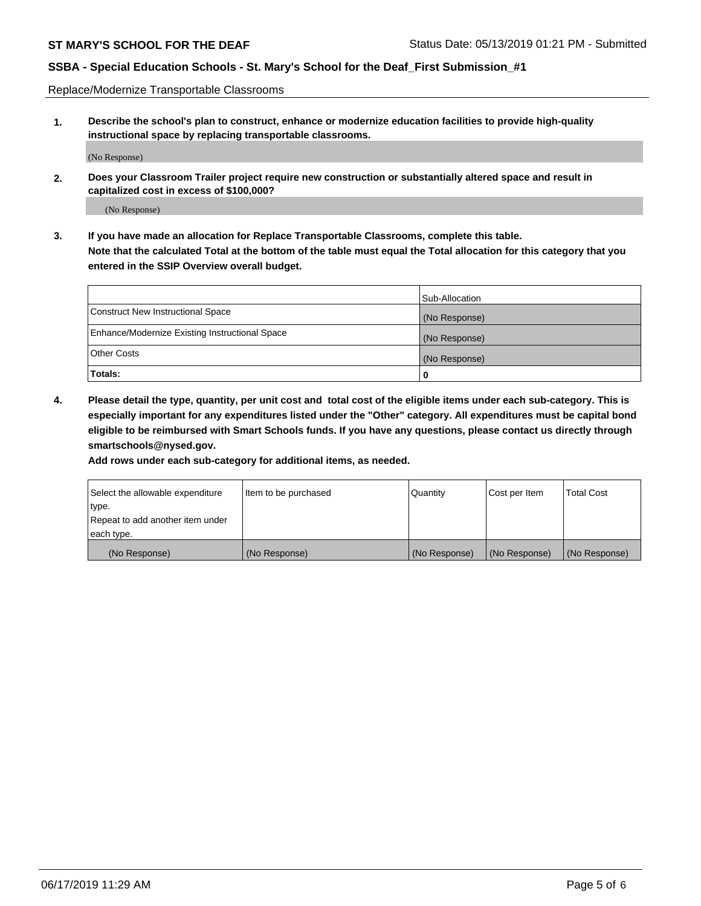Replace/Modernize Transportable Classrooms

**1. Describe the school's plan to construct, enhance or modernize education facilities to provide high-quality instructional space by replacing transportable classrooms.**

(No Response)

**2. Does your Classroom Trailer project require new construction or substantially altered space and result in capitalized cost in excess of \$100,000?**

(No Response)

**3. If you have made an allocation for Replace Transportable Classrooms, complete this table. Note that the calculated Total at the bottom of the table must equal the Total allocation for this category that you entered in the SSIP Overview overall budget.**

|                                                | Sub-Allocation |
|------------------------------------------------|----------------|
| Construct New Instructional Space              | (No Response)  |
| Enhance/Modernize Existing Instructional Space | (No Response)  |
| Other Costs                                    | (No Response)  |
| Totals:                                        | 0              |

**4. Please detail the type, quantity, per unit cost and total cost of the eligible items under each sub-category. This is especially important for any expenditures listed under the "Other" category. All expenditures must be capital bond eligible to be reimbursed with Smart Schools funds. If you have any questions, please contact us directly through smartschools@nysed.gov.**

**Add rows under each sub-category for additional items, as needed.**

| Select the allowable expenditure | lltem to be purchased | Quantity      | Cost per Item | <b>Total Cost</b> |
|----------------------------------|-----------------------|---------------|---------------|-------------------|
| type.                            |                       |               |               |                   |
| Repeat to add another item under |                       |               |               |                   |
| each type.                       |                       |               |               |                   |
| (No Response)                    | (No Response)         | (No Response) | (No Response) | (No Response)     |